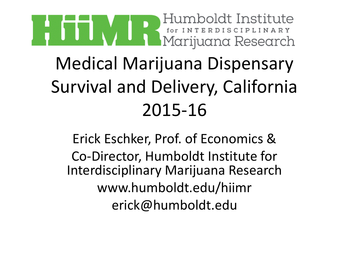

Erick Eschker, Prof. of Economics & Co-Director, Humboldt Institute for Interdisciplinary Marijuana Research www.humboldt.edu/hiimr erick@humboldt.edu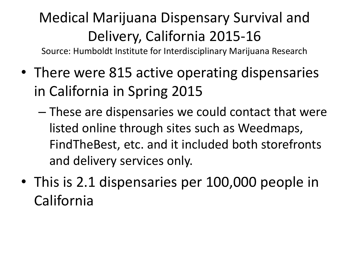Source: Humboldt Institute for Interdisciplinary Marijuana Research

- There were 815 active operating dispensaries in California in Spring 2015
	- These are dispensaries we could contact that were listed online through sites such as Weedmaps, FindTheBest, etc. and it included both storefronts and delivery services only.
- This is 2.1 dispensaries per 100,000 people in California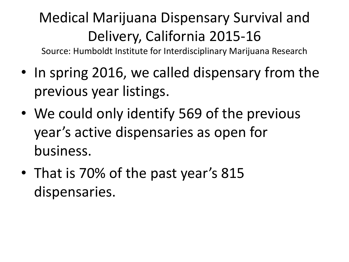Source: Humboldt Institute for Interdisciplinary Marijuana Research

- In spring 2016, we called dispensary from the previous year listings.
- We could only identify 569 of the previous year's active dispensaries as open for business.
- That is 70% of the past year's 815 dispensaries.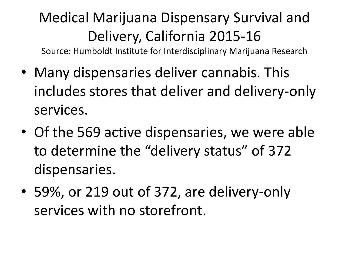Source: Humboldt Institute for Interdisciplinary Marijuana Research

- Many dispensaries deliver cannabis. This includes stores that deliver and delivery-only services.
- Of the 569 active dispensaries, we were able to determine the "delivery status" of 372 dispensaries.
- 59%, or 219 out of 372, are delivery-only services with no storefront.